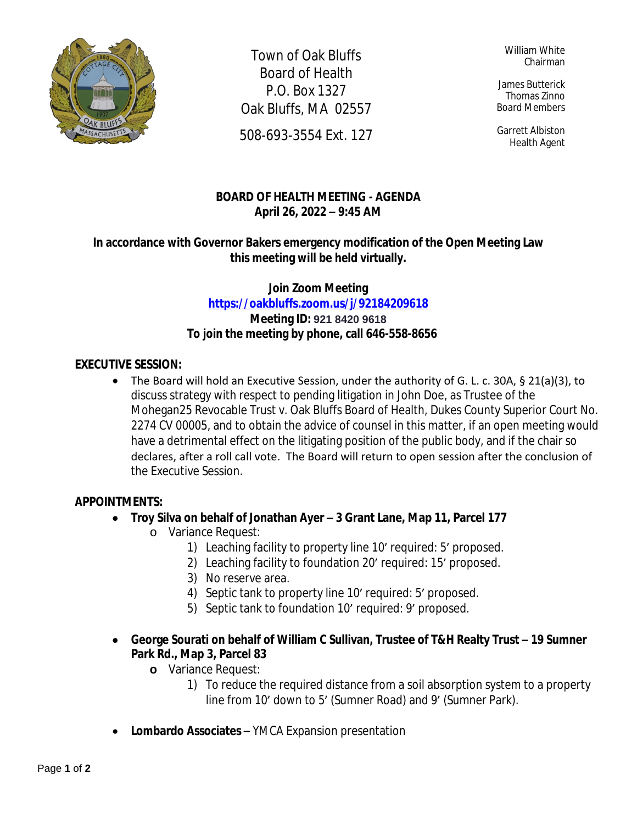

Town of Oak Bluffs Board of Health P.O. Box 1327 Oak Bluffs, MA 02557

508-693-3554 Ext. 127

William White Chairman

James Butterick Thomas Zinno Board Members

Garrett Albiston Health Agent

# **BOARD OF HEALTH MEETING - AGENDA April 26, 2022 – 9:45 AM**

## **In accordance with Governor Bakers emergency modification of the Open Meeting Law this meeting will be held virtually.**

## **Join Zoom Meeting <https://oakbluffs.zoom.us/j/92184209618> Meeting ID: 921 8420 9618 To join the meeting by phone, call 646-558-8656**

#### **EXECUTIVE SESSION:**

 The Board will hold an Executive Session, under the authority of G. L. c. 30A, § 21(a)(3), to discuss strategy with respect to pending litigation in John Doe, as Trustee of the Mohegan25 Revocable Trust v. Oak Bluffs Board of Health, Dukes County Superior Court No. 2274 CV 00005, and to obtain the advice of counsel in this matter, if an open meeting would have a detrimental effect on the litigating position of the public body, and if the chair so declares, after a roll call vote. The Board will return to open session after the conclusion of the Executive Session.

#### **APPOINTMENTS:**

- **Troy Silva on behalf of Jonathan Ayer – 3 Grant Lane, Map 11, Parcel 177**
	- o Variance Request:
		- 1) Leaching facility to property line 10' required: 5' proposed.
		- 2) Leaching facility to foundation 20' required: 15' proposed.
		- 3) No reserve area.
		- 4) Septic tank to property line 10' required: 5' proposed.
		- 5) Septic tank to foundation 10' required: 9' proposed.
- **George Sourati on behalf of William C Sullivan, Trustee of T&H Realty Trust 19 Sumner Park Rd., Map 3, Parcel 83**
	- **o** Variance Request:
		- 1) To reduce the required distance from a soil absorption system to a property line from 10' down to 5' (Sumner Road) and 9' (Sumner Park).
- **Lombardo Associates –** YMCA Expansion presentation